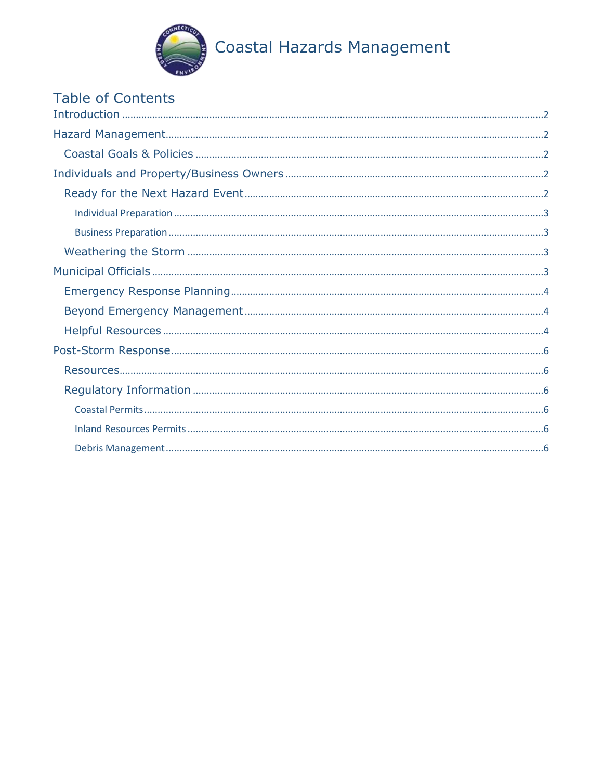

# Table of Contents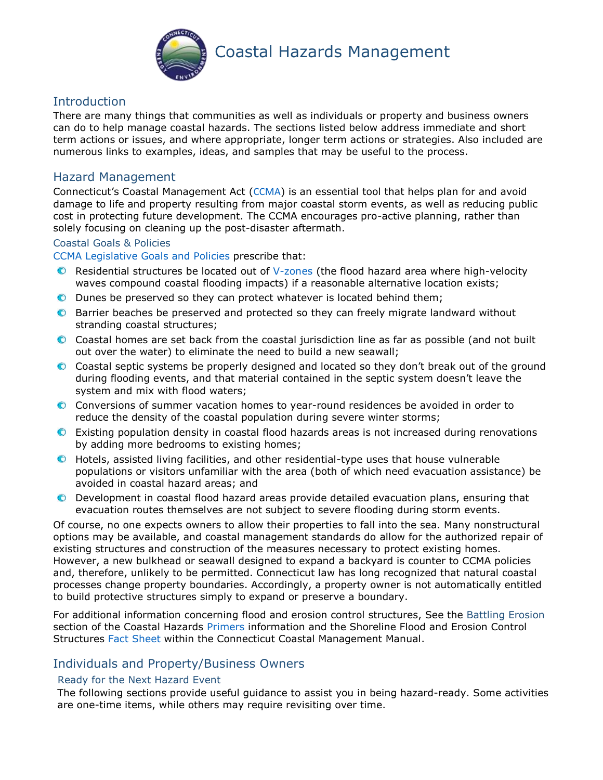

# <span id="page-1-0"></span>**Introduction**

There are many things that communities as well as individuals or property and business owners can do to help manage coastal hazards. The sections listed below address immediate and short term actions or issues, and where appropriate, longer term actions or strategies. Also included are numerous links to examples, ideas, and samples that may be useful to the process.

# <span id="page-1-1"></span>Hazard Management

Connecticut's Coastal Management Act ([CCMA](https://www.cga.ct.gov/current/pub/chap_444.htm)) is an essential tool that helps plan for and avoid damage to life and property resulting from major coastal storm events, as well as reducing public cost in protecting future development. The CCMA encourages pro-active planning, rather than solely focusing on cleaning up the post-disaster aftermath.

## <span id="page-1-2"></span>Coastal Goals & Policies

[CCMA Legislative Goals and Policies](https://www.cga.ct.gov/current/pub/chap_444.htm#sec_22a-92) prescribe that:

- Residential structures be located out of [V-zones](https://www.fema.gov/zone-v) (the flood hazard area where high-velocity  $\bullet$ waves compound coastal flooding impacts) if a reasonable alternative location exists;
- Dunes be preserved so they can protect whatever is located behind them;
- Barrier beaches be preserved and protected so they can freely migrate landward without stranding coastal structures;
- Coastal homes are set back from the coastal jurisdiction line as far as possible (and not built out over the water) to eliminate the need to build a new seawall;
- Coastal septic systems be properly designed and located so they don't break out of the ground during flooding events, and that material contained in the septic system doesn't leave the system and mix with flood waters;
- Conversions of summer vacation homes to year-round residences be avoided in order to reduce the density of the coastal population during severe winter storms;
- Existing population density in coastal flood hazards areas is not increased during renovations by adding more bedrooms to existing homes;
- Hotels, assisted living facilities, and other residential-type uses that house vulnerable populations or visitors unfamiliar with the area (both of which need evacuation assistance) be avoided in coastal hazard areas; and
- Development in coastal flood hazard areas provide detailed evacuation plans, ensuring that  $\bullet$ evacuation routes themselves are not subject to severe flooding during storm events.

Of course, no one expects owners to allow their properties to fall into the sea. Many nonstructural options may be available, and coastal management standards do allow for the authorized repair of existing structures and construction of the measures necessary to protect existing homes. However, a new bulkhead or seawall designed to expand a backyard is counter to CCMA policies and, therefore, unlikely to be permitted. Connecticut law has long recognized that natural coastal processes change property boundaries. Accordingly, a property owner is not automatically entitled to build protective structures simply to expand or preserve a boundary.

For additional information concerning flood and erosion control structures, See the Battling Erosion section of the Coastal Hazards [Primers](https://portal.ct.gov/-/media/DEEP/coastal-resources/coastal_management/coastal_hazards/CH_Primers.pdf?la=en) information and the Shoreline Flood and Erosion Control Structures [Fact Sheet](https://portal.ct.gov/-/media/DEEP/coastal-resources/coastal_management_manual/manualsection308pdf.pdf?la=en) within the Connecticut Coastal Management Manual.

# <span id="page-1-3"></span>Individuals and Property/Business Owners

### <span id="page-1-4"></span>Ready for the Next Hazard Event

The following sections provide useful guidance to assist you in being hazard-ready. Some activities are one-time items, while others may require revisiting over time.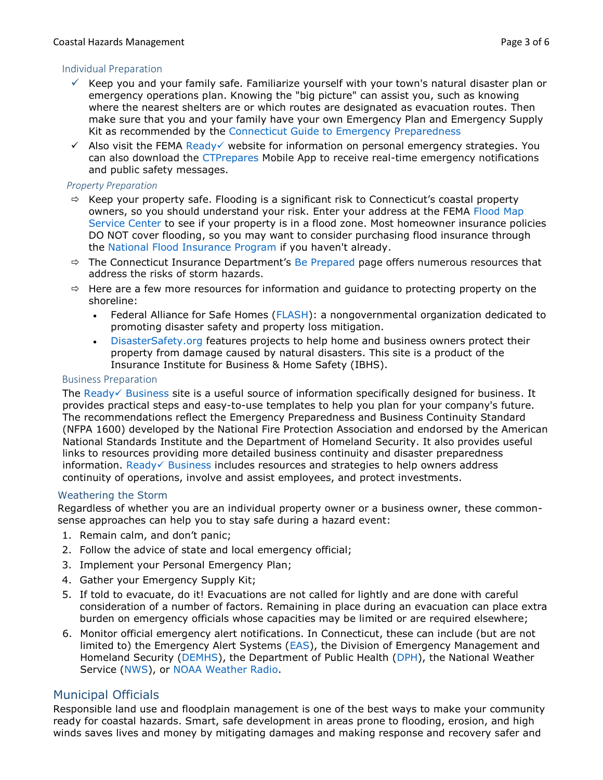## <span id="page-2-0"></span>Individual Preparation

- $\checkmark$  Keep you and your family safe. Familiarize yourself with your town's natural disaster plan or emergency operations plan. Knowing the "big picture" can assist you, such as knowing where the nearest shelters are or which routes are designated as evacuation routes. Then make sure that you and your family have your own Emergency Plan and Emergency Supply Kit as recommended by the [Connecticut Guide to Emergency Preparedness](https://portal.ct.gov/-/media/Departments-and-Agencies/DPH/dph/communications/preparedness/EmerPrepGuideFinalpdf.pdf?la=en)
- $\checkmark$  Also visit the FEMA [Ready](https://www.ready.gov/) website for information on personal emergency strategies. You can also download the [CTPrepares](https://portal.ct.gov/CTPrepares/Stay-Informed) Mobile App to receive real-time emergency notifications and public safety messages.

## *Property Preparation*

- $\Rightarrow$  Keep your property safe. Flooding is a significant risk to Connecticut's coastal property owners, so you should understand your risk. Enter your address at the FEMA Flood Map [Service Center](https://msc.fema.gov/portal/search) to see if your property is in a flood zone. Most homeowner insurance policies DO NOT cover flooding, so you may want to consider purchasing flood insurance through the [National Flood Insurance Program](https://www.floodsmart.gov/why/why-buy-flood-insurance) if you haven't already.
- $\Rightarrow$  The Connecticut Insurance Department's [Be Prepared](https://portal.ct.gov/CID/Natural-Catastrophe-Information/Be-Prepared) page offers numerous resources that address the risks of storm hazards.
- $\Rightarrow$  Here are a few more resources for information and guidance to protecting property on the shoreline:
	- Federal Alliance for Safe Homes [\(FLASH\)](http://www.flash.org/): a nongovernmental organization dedicated to promoting disaster safety and property loss mitigation.
	- [DisasterSafety.org](https://disastersafety.org/) features projects to help home and business owners protect their property from damage caused by natural disasters. This site is a product of the Insurance Institute for Business & Home Safety (IBHS).

## <span id="page-2-1"></span>Business Preparation

The Ready $\checkmark$  [Business](https://www.ready.gov/business) site is a useful source of information specifically designed for business. It provides practical steps and easy-to-use templates to help you plan for your company's future. The recommendations reflect the Emergency Preparedness and Business Continuity Standard (NFPA 1600) developed by the National Fire Protection Association and endorsed by the American National Standards Institute and the Department of Homeland Security. It also provides useful links to resources providing more detailed business continuity and disaster preparedness information. Ready $\checkmark$  [Business](https://www.ready.gov/business) includes resources and strategies to help owners address continuity of operations, involve and assist employees, and protect investments.

# <span id="page-2-2"></span>Weathering the Storm

Regardless of whether you are an individual property owner or a business owner, these commonsense approaches can help you to stay safe during a hazard event:

- 1. Remain calm, and don't panic;
- 2. Follow the advice of state and local emergency official;
- 3. Implement your Personal Emergency Plan;
- 4. Gather your Emergency Supply Kit;
- 5. If told to evacuate, do it! Evacuations are not called for lightly and are done with careful consideration of a number of factors. Remaining in place during an evacuation can place extra burden on emergency officials whose capacities may be limited or are required elsewhere;
- 6. Monitor official emergency alert notifications. In Connecticut, these can include (but are not limited to) the Emergency Alert Systems [\(EAS\)](https://www.ct.gov/ctalert/cwp/view.asp?a=3875&q=458434), the Division of Emergency Management and Homeland Security [\(DEMHS\)](https://portal.ct.gov/DEMHS/Emergency-Management/Resources-For-Individuals/Staying-Informed), the Department of Public Health [\(DPH\)](https://portal.ct.gov/DPH/Public-Health-Preparedness/Main-Page/Natural-Disasters), the National Weather Service [\(NWS\)](https://alerts.weather.gov/cap/ct.php?x=1), or [NOAA Weather Radio.](https://www.nws.noaa.gov/nwr/)

# <span id="page-2-3"></span>Municipal Officials

Responsible land use and floodplain management is one of the best ways to make your community ready for coastal hazards. Smart, safe development in areas prone to flooding, erosion, and high winds saves lives and money by mitigating damages and making response and recovery safer and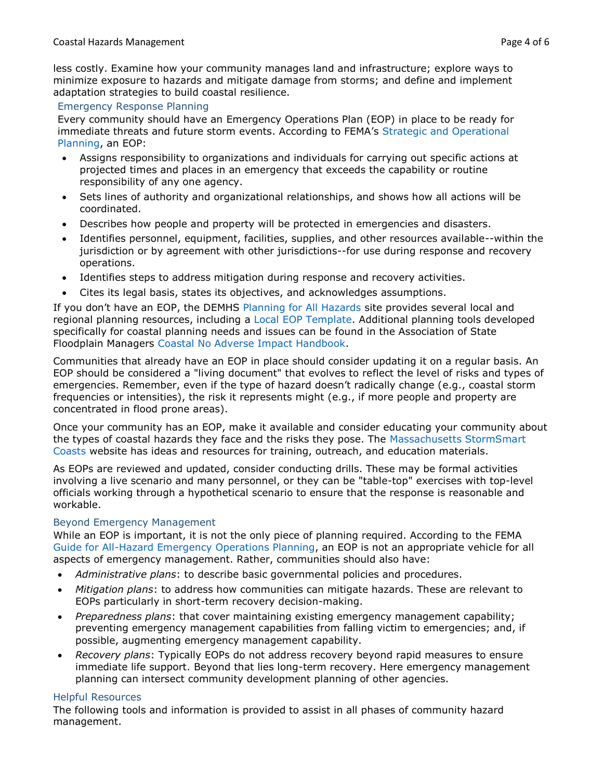less costly. Examine how your community manages land and infrastructure; explore ways to minimize exposure to hazards and mitigate damage from storms; and define and implement adaptation strategies to build coastal resilience.

## <span id="page-3-0"></span>Emergency Response Planning

Every community should have an Emergency Operations Plan (EOP) in place to be ready for immediate threats and future storm events. According to FEMA's [Strategic and Operational](https://www.fema.gov/plan)  [Planning,](https://www.fema.gov/plan) an EOP:

- Assigns responsibility to organizations and individuals for carrying out specific actions at projected times and places in an emergency that exceeds the capability or routine responsibility of any one agency.
- Sets lines of authority and organizational relationships, and shows how all actions will be coordinated.
- Describes how people and property will be protected in emergencies and disasters.
- Identifies personnel, equipment, facilities, supplies, and other resources available--within the jurisdiction or by agreement with other jurisdictions--for use during response and recovery operations.
- Identifies steps to address mitigation during response and recovery activities.
- Cites its legal basis, states its objectives, and acknowledges assumptions.

If you don't have an EOP, the DEMHS [Planning for All Hazards](https://portal.ct.gov/DEMHS/Emergency-Management/Resources-For-Officials/Planning-For-All-Hazards) site provides several local and regional planning resources, including a [Local EOP Template.](https://portal.ct.gov/DEMHS/Emergency-Management/Resources-For-Officials/Planning-For-All-Hazards/LEOP/Local-Emergency-Operations-Plan-Resources) Additional planning tools developed specifically for coastal planning needs and issues can be found in the Association of State Floodplain Managers [Coastal No Adverse Impact Handbook.](https://www.floods.org/index.asp?menuid=340)

Communities that already have an EOP in place should consider updating it on a regular basis. An EOP should be considered a "living document" that evolves to reflect the level of risks and types of emergencies. Remember, even if the type of hazard doesn't radically change (e.g., coastal storm frequencies or intensities), the risk it represents might (e.g., if more people and property are concentrated in flood prone areas).

Once your community has an EOP, make it available and consider educating your community about the types of coastal hazards they face and the risks they pose. The [Massachusetts StormSmart](https://www.mass.gov/stormsmart-coasts-program)  [Coasts](https://www.mass.gov/stormsmart-coasts-program) website has ideas and resources for training, outreach, and education materials.

As EOPs are reviewed and updated, consider conducting drills. These may be formal activities involving a live scenario and many personnel, or they can be "table-top" exercises with top-level officials working through a hypothetical scenario to ensure that the response is reasonable and workable.

### <span id="page-3-1"></span>Beyond Emergency Management

While an EOP is important, it is not the only piece of planning required. According to the FEMA [Guide for All-Hazard Emergency Operations Planning,](https://www.fema.gov/pdf/plan/slg101.pdf) an EOP is not an appropriate vehicle for all aspects of emergency management. Rather, communities should also have:

- *Administrative plans*: to describe basic governmental policies and procedures.
- *Mitigation plans*: to address how communities can mitigate hazards. These are relevant to EOPs particularly in short-term recovery decision-making.
- *Preparedness plans*: that cover maintaining existing emergency management capability; preventing emergency management capabilities from falling victim to emergencies; and, if possible, augmenting emergency management capability.
- *Recovery plans*: Typically EOPs do not address recovery beyond rapid measures to ensure immediate life support. Beyond that lies long-term recovery. Here emergency management planning can intersect community development planning of other agencies.

# <span id="page-3-2"></span>Helpful Resources

The following tools and information is provided to assist in all phases of community hazard management.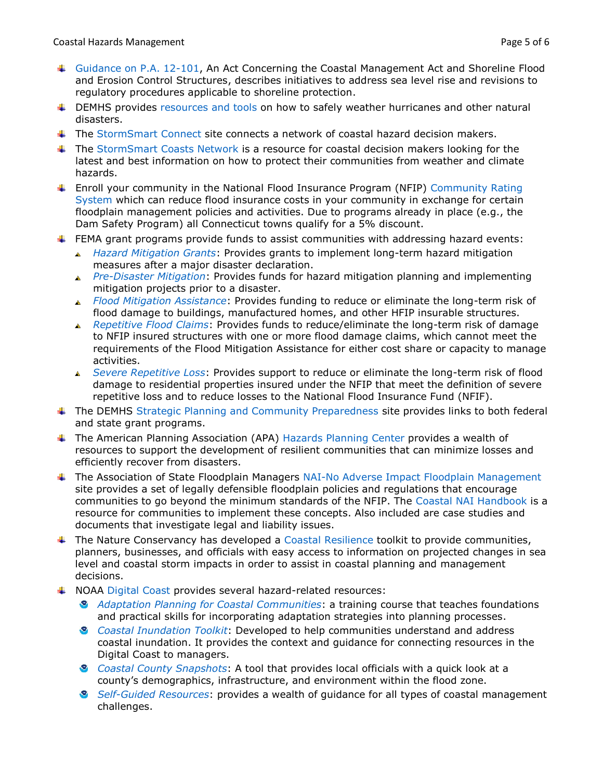- [Guidance on P.A. 12-101,](https://portal.ct.gov/-/media/DEEP/coastal-resources/coastal_management/PA12-101Guidance.pdf?la=en) An Act Concerning the Coastal Management Act and Shoreline Flood and Erosion Control Structures, describes initiatives to address sea level rise and revisions to regulatory procedures applicable to shoreline protection.
- $\ddot{\phantom{1}}$  DEMHS provides [resources and tools](https://portal.ct.gov/DEMHS/Emergency-Management/Resources-For-Officials/Planning-For-All-Hazards) on how to safely weather hurricanes and other natural disasters.
- The [StormSmart Connect](http://stormsmart.org/) site connects a network of coastal hazard decision makers.
- The [StormSmart Coasts Network](https://www.cakex.org/tools/stormsmart-coasts-network) is a resource for coastal decision makers looking for the latest and best information on how to protect their communities from weather and climate hazards.
- Enroll your community in the National Flood Insurance Program (NFIP) [Community Rating](https://www.fema.gov/national-flood-insurance-program-community-rating-system)  [System](https://www.fema.gov/national-flood-insurance-program-community-rating-system) which can reduce flood insurance costs in your community in exchange for certain floodplain management policies and activities. Due to programs already in place (e.g., the Dam Safety Program) all Connecticut towns qualify for a 5% discount.
- $\text{I}$  FEMA grant programs provide funds to assist communities with addressing hazard events:
	- *[Hazard Mitigation Grants](https://www.fema.gov/hazard-mitigation-grant-program)*: Provides grants to implement long-term hazard mitigation measures after a major disaster declaration.
	- *[Pre-Disaster Mitigation](https://www.fema.gov/pre-disaster-mitigation-grant-program)*: Provides funds for hazard mitigation planning and implementing mitigation projects prior to a disaster.
	- *[Flood Mitigation Assistance](https://www.fema.gov/flood-mitigation-assistance-grant-program)*: Provides funding to reduce or eliminate the long-term risk of flood damage to buildings, manufactured homes, and other HFIP insurable structures.
	- *[Repetitive Flood Claims](https://www.fema.gov/repetitive-flood-claims-program)*: Provides funds to reduce/eliminate the long-term risk of damage to NFIP insured structures with one or more flood damage claims, which cannot meet the requirements of the Flood Mitigation Assistance for either cost share or capacity to manage activities.
	- *[Severe Repetitive Loss](https://www.fema.gov/media-library/resources-documents/collections/14)*: Provides support to reduce or eliminate the long-term risk of flood  $\triangle$ damage to residential properties insured under the NFIP that meet the definition of severe repetitive loss and to reduce losses to the National Flood Insurance Fund (NFIF).
- **The DEMHS [Strategic Planning and Community Preparedness](https://portal.ct.gov/DEMHS/Emergency-Management/Resources-For-Officials/Community-Preparedness) site provides links to both federal** and state grant programs.
- **The American Planning Association (APA) [Hazards Planning Center](https://www.planning.org/nationalcenters/hazards/) provides a wealth of** resources to support the development of resilient communities that can minimize losses and efficiently recover from disasters.
- The Association of State Floodplain Managers [NAI-No Adverse Impact Floodplain Management](https://www.floods.org/index.asp?menuID=460) site provides a set of legally defensible floodplain policies and regulations that encourage communities to go beyond the minimum standards of the NFIP. The [Coastal NAI Handbook](https://www.floods.org/NoAdverseImpact/CNAI_Handbook/CNAI_Handbook.pdf) is a resource for communities to implement these concepts. Also included are case studies and documents that investigate legal and liability issues.
- $\ddot{\phantom{1}}$  The Nature Conservancy has developed a [Coastal Resilience](https://coastalresilience.org/) toolkit to provide communities, planners, businesses, and officials with easy access to information on projected changes in sea level and coastal storm impacts in order to assist in coastal planning and management decisions.
- **4 NOAA [Digital Coast](https://coast.noaa.gov/digitalcoast) provides several hazard-related resources:** 
	- *[Adaptation Planning for Coastal Communities](https://coast.noaa.gov/digitalcoast/training/climate-adaptation.html)*: a training course that teaches foundations and practical skills for incorporating adaptation strategies into planning processes.
	- *[Coastal Inundation Toolkit](https://coast.noaa.gov/digitalcoast/training/coastal-inundation-toolkit.html)*: Developed to help communities understand and address coastal inundation. It provides the context and guidance for connecting resources in the Digital Coast to managers.
	- *[Coastal County Snapshots](https://coast.noaa.gov/digitalcoast/tools/snapshots)*: A tool that provides local officials with a quick look at a county's demographics, infrastructure, and environment within the flood zone.
	- *[Self-Guided Resources](https://coast.noaa.gov/digitalcoast/training/?filter=Self-Guided+Resources)*: provides a wealth of guidance for all types of coastal management challenges.